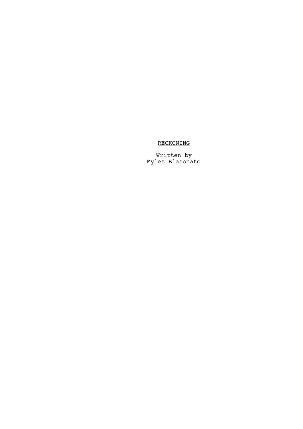## RECKONING

Written by Myles Blasonato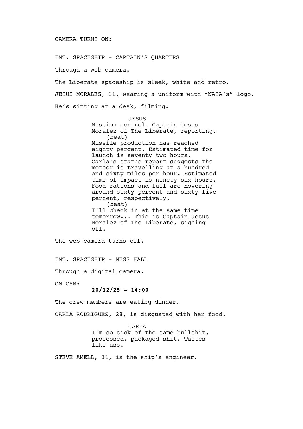INT. SPACESHIP - CAPTAIN'S QUARTERS Through a web camera. The Liberate spaceship is sleek, white and retro. JESUS MORALEZ, 31, wearing a uniform with "NASA's" logo. He's sitting at a desk, filming: JESUS Mission control. Captain Jesus Moralez of The Liberate, reporting. (beat) Missile production has reached eighty percent. Estimated time for launch is seventy two hours. Carla's status report suggests the meteor is travelling at a hundred and sixty miles per hour. Estimated time of impact is ninety six hours. Food rations and fuel are hovering around sixty percent and sixty five percent, respectively. (beat) I'll check in at the same time tomorrow... This is Captain Jesus Moralez of The Liberate, signing off. The web camera turns off. INT. SPACESHIP - MESS HALL Through a digital camera. ON CAM:

 $20/12/25 - 14:00$ 

The crew members are eating dinner.

CARLA RODRIGUEZ, 28, is disgusted with her food.

CARLA I'm so sick of the same bullshit, processed, packaged shit. Tastes like ass.

STEVE AMELL, 31, is the ship's engineer.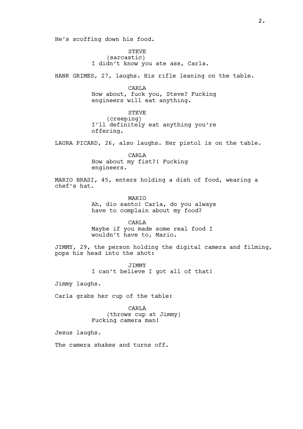He's scoffing down his food.

STEVE (sarcastic) I didn't know you ate ass, Carla.

HANK GRIMES, 27, laughs. His rifle leaning on the table.

**CARLA** How about, fuck you, Steve? Fucking engineers will eat anything.

STEVE (creeping) I'll definitely eat anything you're offering.

LAURA PICARD, 26, also laughs. Her pistol is on the table.

CARLA How about my fist?! Fucking engineers.

MARIO BRASI, 45, enters holding a dish of food, wearing a chef's hat.

> MARIO Ah, dio santo! Carla, do you always have to complain about my food?

CARLA Maybe if you made some real food I wouldn't have to, Mario.

JIMMY, 29, the person holding the digital camera and filming, pops his head into the shot:

> JIMMY I can't believe I got all of that!

Jimmy laughs.

Carla grabs her cup of the table:

CARLA (throws cup at Jimmy) Fucking camera man!

Jesus laughs.

The camera shakes and turns off.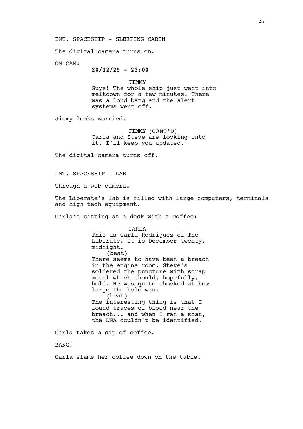INT. SPACESHIP - SLEEPING CABIN

The digital camera turns on.

ON CAM:

 $20/12/25 - 23:00$ 

JIMMY Guys! The whole ship just went into meltdown for a few minutes. There was a loud bang and the alert systems went off.

Jimmy looks worried.

JIMMY (CONT'D) Carla and Steve are looking into it. I'll keep you updated.

The digital camera turns off.

INT. SPACESHIP - LAB

Through a web camera.

The Liberate's lab is filled with large computers, terminals and high tech equipment.

Carla's sitting at a desk with a coffee:

CARLA This is Carla Rodriguez of The Liberate. It is December twenty, midnight. (beat) There seems to have been a breach in the engine room. Steve's soldered the puncture with scrap metal which should, hopefully, hold. He was quite shocked at how large the hole was. (beat) The interesting thing is that I found traces of blood near the breach... and when I ran a scan, the DNA couldn't be identified.

Carla takes a sip of coffee.

BANG!

Carla slams her coffee down on the table.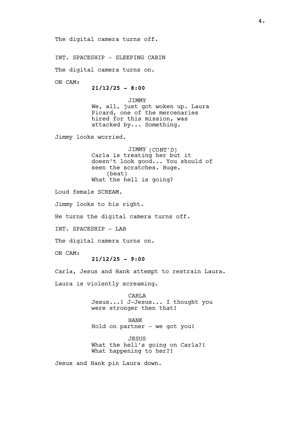The digital camera turns off. INT. SPACESHIP - SLEEPING CABIN The digital camera turns on. ON CAM:  $21/12/25 - 8:00$ JIMMY We, all, just got woken up. Laura Picard, one of the mercenaries hired for this mission, was attacked by... Something. Jimmy looks worried. JIMMY (CONT'D) Carla is treating her but it doesn't look good... You should of seen the scratches. Huge. (beat) What the hell is going? Loud female SCREAM. Jimmy looks to his right. He turns the digital camera turns off. INT. SPACESHIP - LAB The digital camera turns on. ON CAM:  $21/12/25 - 9:00$ Carla, Jesus and Hank attempt to restrain Laura. Laura is violently screaming. **CARLA** Jesus...! J-Jesus... I thought you were stronger then that! HANK Hold on partner - we got you! JESUS What the hell's going on Carla?! What happening to her?! Jesus and Hank pin Laura down.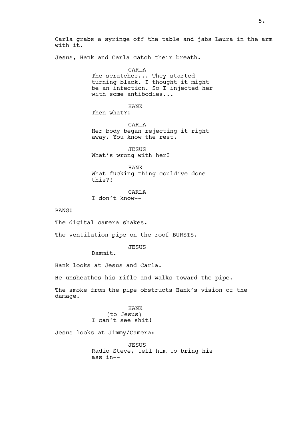Carla grabs a syringe off the table and jabs Laura in the arm with it.

Jesus, Hank and Carla catch their breath.

CARLA

The scratches... They started turning black. I thought it might be an infection. So I injected her with some antibodies...

HANK

Then what?!

CARLA Her body began rejecting it right away. You know the rest.

JESUS What's wrong with her?

HANK What fucking thing could've done this?!

CARLA I don't know--

BANG!

The digital camera shakes.

The ventilation pipe on the roof BURSTS.

JESUS

Dammit.

Hank looks at Jesus and Carla.

He unsheathes his rifle and walks toward the pipe.

The smoke from the pipe obstructs Hank's vision of the damage.

> HANK (to Jesus) I can't see shit!

Jesus looks at Jimmy/Camera:

JESUS Radio Steve, tell him to bring his ass in--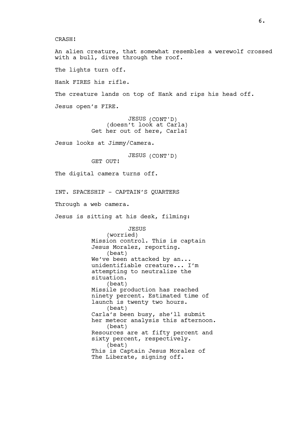CRASH!

An alien creature, that somewhat resembles a werewolf crossed with a bull, dives through the roof.

The lights turn off.

Hank FIRES his rifle.

The creature lands on top of Hank and rips his head off.

Jesus open's FIRE.

JESUS (CONT'D) (doesn't look at Carla) Get her out of here, Carla!

Jesus looks at Jimmy/Camera.

JESUS (CONT'D)

GET OUT!

The digital camera turns off.

INT. SPACESHIP - CAPTAIN'S QUARTERS

Through a web camera.

Jesus is sitting at his desk, filming:

JESUS (worried) Mission control. This is captain Jesus Moralez, reporting. (beat) We've been attacked by an... unidentifiable creature... I'm attempting to neutralize the situation. (beat) Missile production has reached ninety percent. Estimated time of launch is twenty two hours. (beat) Carla's been busy, she'll submit her meteor analysis this afternoon. (beat) Resources are at fifty percent and sixty percent, respectively. (beat) This is Captain Jesus Moralez of The Liberate, signing off.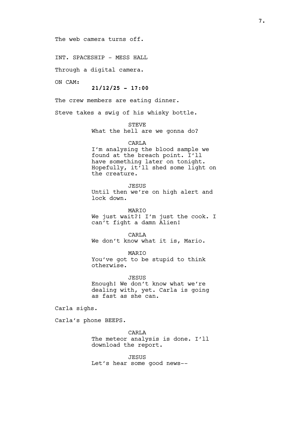The web camera turns off.

INT. SPACESHIP - MESS HALL

Through a digital camera.

ON CAM:

 $21/12/25 - 17:00$ 

The crew members are eating dinner.

Steve takes a swig of his whisky bottle.

STEVE

What the hell are we gonna do?

CARLA

I'm analysing the blood sample we found at the breach point. I'll have something later on tonight. Hopefully, it'll shed some light on the creature.

JESUS

Until then we're on high alert and lock down.

MARIO We just wait?! I'm just the cook. I can't fight a damn Alien!

CARLA We don't know what it is, Mario.

MARIO You've got to be stupid to think otherwise.

JESUS Enough! We don't know what we're dealing with, yet. Carla is going as fast as she can.

Carla sighs.

Carla's phone BEEPS.

CARLA The meteor analysis is done. I'll download the report.

JESUS Let's hear some good news--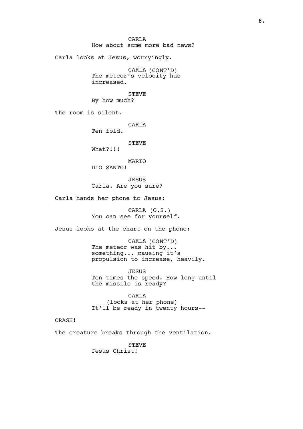**CARLA** How about some more bad news? Carla looks at Jesus, worryingly. CARLA (CONT'D) The meteor's velocity has increased. **STEVE** By how much? The room is silent. **CARLA** Ten fold. **STEVE** What?!!! MARIO DIO SANTO! JESUS Carla. Are you sure? Carla hands her phone to Jesus: CARLA (O.S.) You can see for yourself. Jesus looks at the chart on the phone: CARLA (CONT'D) The meteor was hit by... something... causing it's propulsion to increase, heavily. JESUS Ten times the speed. How long until the missile is ready? CARLA (looks at her phone) It'll be ready in twenty hours-- CRASH! The creature breaks through the ventilation. **STEVE** Jesus Christ!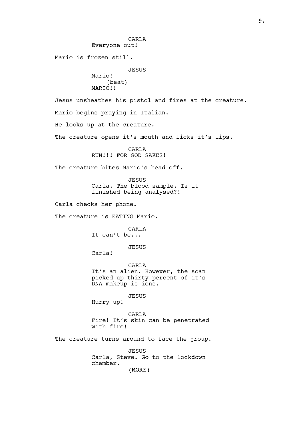(MORE) CARL<sub>A</sub> Everyone out! Mario is frozen still. JESUS Mario! (beat) MARTO!! Jesus unsheathes his pistol and fires at the creature. Mario begins praying in Italian. He looks up at the creature. The creature opens it's mouth and licks it's lips. CARLA RUN!!! FOR GOD SAKES! The creature bites Mario's head off. JESUS Carla. The blood sample. Is it finished being analysed?! Carla checks her phone. The creature is EATING Mario. CARLA It can't be... JESUS Carla! CARLA It's an alien. However, the scan picked up thirty percent of it's DNA makeup is ions. JESUS Hurry up! CARLA Fire! It's skin can be penetrated with fire! The creature turns around to face the group. JESUS Carla, Steve. Go to the lockdown chamber.

9.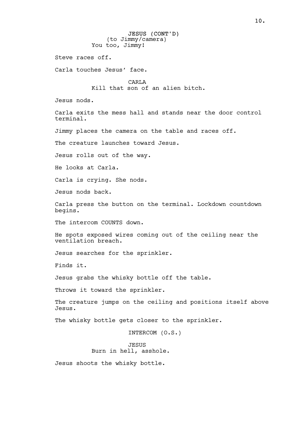Steve races off.

Carla touches Jesus' face.

CARL<sub>A</sub> Kill that son of an alien bitch.

Jesus nods.

Carla exits the mess hall and stands near the door control terminal.

Jimmy places the camera on the table and races off.

The creature launches toward Jesus.

Jesus rolls out of the way.

He looks at Carla.

Carla is crying. She nods.

Jesus nods back.

Carla press the button on the terminal. Lockdown countdown begins.

The intercom COUNTS down.

He spots exposed wires coming out of the ceiling near the ventilation breach.

Jesus searches for the sprinkler.

Finds it.

Jesus grabs the whisky bottle off the table.

Throws it toward the sprinkler.

The creature jumps on the ceiling and positions itself above Jesus.

The whisky bottle gets closer to the sprinkler.

INTERCOM (O.S.)

JESUS Burn in hell, asshole.

Jesus shoots the whisky bottle.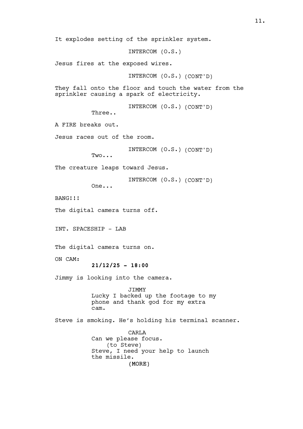It explodes setting of the sprinkler system.

INTERCOM (O.S.)

Jesus fires at the exposed wires.

INTERCOM (O.S.) (CONT'D)

They fall onto the floor and touch the water from the sprinkler causing a spark of electricity.

INTERCOM (O.S.) (CONT'D)

Three..

A FIRE breaks out.

Jesus races out of the room.

INTERCOM (O.S.) (CONT'D)

Two...

The creature leaps toward Jesus.

INTERCOM (O.S.) (CONT'D)

One...

BANG!!!

The digital camera turns off.

INT. SPACESHIP - LAB

The digital camera turns on.

ON CAM:

```
21/12/25 - 18:00
```
Jimmy is looking into the camera.

JIMMY Lucky I backed up the footage to my phone and thank god for my extra cam.

Steve is smoking. He's holding his terminal scanner.

(MORE) CARLA Can we please focus. (to Steve) Steve, I need your help to launch the missile.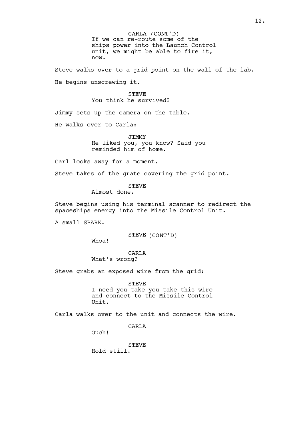CARLA (CONT'D) If we can re-route some of the ships power into the Launch Control unit, we might be able to fire it, now.

Steve walks over to a grid point on the wall of the lab. He begins unscrewing it.

## STEVE You think he survived?

Jimmy sets up the camera on the table.

He walks over to Carla:

JIMMY He liked you, you know? Said you reminded him of home.

Carl looks away for a moment.

Steve takes of the grate covering the grid point.

STEVE

Almost done.

Steve begins using his terminal scanner to redirect the spaceships energy into the Missile Control Unit.

A small SPARK.

STEVE (CONT'D)

Whoa!

**CARLA** What's wrong?

Steve grabs an exposed wire from the grid:

STEVE I need you take you take this wire and connect to the Missile Control Unit.

Carla walks over to the unit and connects the wire.

CARLA

Ouch!

**STEVE** 

Hold still.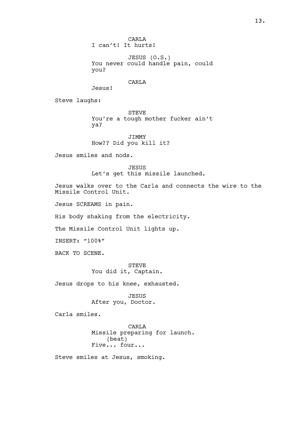**CARLA** I can't! It hurts!

JESUS (O.S.) You never could handle pain, could you?

CARL<sub>A</sub>

Steve laughs:

STEVE You're a tough mother fucker ain't ya?

JIMMY How?? Did you kill it?

Jesus smiles and nods.

Jesus!

JESUS Let's get this missile launched.

Jesus walks over to the Carla and connects the wire to the Missile Control Unit.

Jesus SCREAMS in pain.

His body shaking from the electricity.

The Missile Control Unit lights up.

INSERT: "100%"

BACK TO SCENE.

STEVE You did it, Captain.

Jesus drops to his knee, exhausted.

JESUS After you, Doctor.

Carla smiles.

CARLA Missile preparing for launch. (beat) Five... four...

Steve smiles at Jesus, smoking.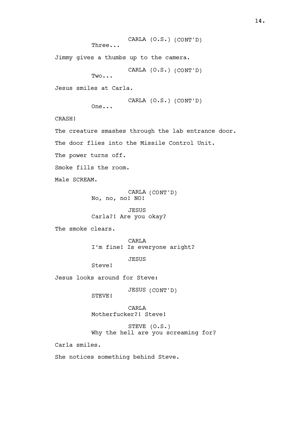```
CARLA (O.S.) (CONT'D)
          Three...
Jimmy gives a thumbs up to the camera.
                     CARLA (O.S.) (CONT'D)
          Two...
Jesus smiles at Carla.
                   CARLA (O.S.) (CONT'D)
          One...
CRASH!
The creature smashes through the lab entrance door.
The door flies into the Missile Control Unit.
The power turns off.
Smoke fills the room.
Male SCREAM.
                     CARLA (CONT'D)
          No, no, no! NO!
                     JESUS
          Carla?! Are you okay?
The smoke clears.
                     CARLA
          I'm fine! Is everyone aright?
                     JESUS
          Steve!
Jesus looks around for Steve:
                     JESUS (CONT'D)
          STEVE!
                     CARLA
          Motherfucker?! Steve!
                     STEVE (O.S.)
          Why the hell are you screaming for?
Carla smiles.
She notices something behind Steve.
```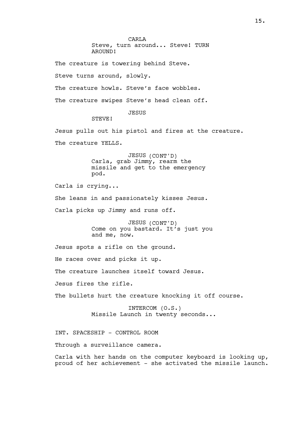CARL<sub>A</sub> Steve, turn around... Steve! TURN AROUND!

The creature is towering behind Steve.

Steve turns around, slowly.

The creature howls. Steve's face wobbles.

The creature swipes Steve's head clean off.

JESUS

STEVE!

Jesus pulls out his pistol and fires at the creature.

The creature YELLS.

JESUS (CONT'D) Carla, grab Jimmy, rearm the missile and get to the emergency pod.

Carla is crying...

She leans in and passionately kisses Jesus.

Carla picks up Jimmy and runs off.

JESUS (CONT'D) Come on you bastard. It's just you and me, now.

Jesus spots a rifle on the ground.

He races over and picks it up.

The creature launches itself toward Jesus.

Jesus fires the rifle.

The bullets hurt the creature knocking it off course.

INTERCOM (O.S.) Missile Launch in twenty seconds...

INT. SPACESHIP - CONTROL ROOM

Through a surveillance camera.

Carla with her hands on the computer keyboard is looking up, proud of her achievement - she activated the missile launch.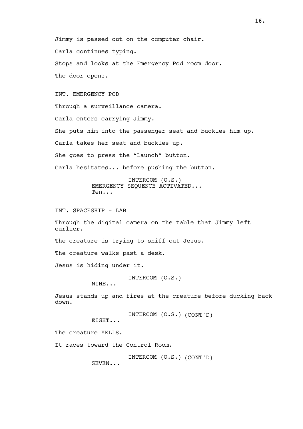Jimmy is passed out on the computer chair. Carla continues typing. Stops and looks at the Emergency Pod room door. The door opens.

INT. EMERGENCY POD

Through a surveillance camera.

Carla enters carrying Jimmy.

She puts him into the passenger seat and buckles him up.

Carla takes her seat and buckles up.

She goes to press the "Launch" button.

Carla hesitates... before pushing the button.

INTERCOM (O.S.) EMERGENCY SEQUENCE ACTIVATED... Ten...

INT. SPACESHIP - LAB

Through the digital camera on the table that Jimmy left earlier.

The creature is trying to sniff out Jesus.

The creature walks past a desk.

Jesus is hiding under it.

INTERCOM (O.S.)

NINE...

Jesus stands up and fires at the creature before ducking back down.

INTERCOM (O.S.) (CONT'D)

EIGHT...

The creature YELLS.

It races toward the Control Room.

INTERCOM (O.S.) (CONT'D)

SEVEN...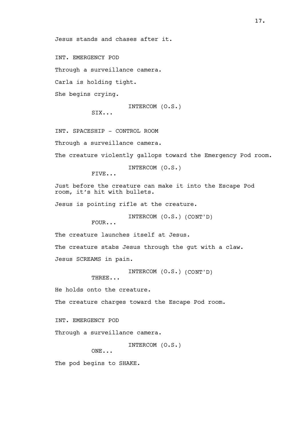Jesus stands and chases after it.

INT. EMERGENCY POD

Through a surveillance camera.

Carla is holding tight.

She begins crying.

INTERCOM (O.S.)

SIX...

INT. SPACESHIP - CONTROL ROOM

Through a surveillance camera.

The creature violently gallops toward the Emergency Pod room.

INTERCOM (O.S.)

FIVE...

Just before the creature can make it into the Escape Pod room, it's hit with bullets.

Jesus is pointing rifle at the creature.

INTERCOM (O.S.) (CONT'D)

FOUR...

The creature launches itself at Jesus.

The creature stabs Jesus through the gut with a claw.

Jesus SCREAMS in pain.

INTERCOM (O.S.) (CONT'D)

THREE...

He holds onto the creature.

The creature charges toward the Escape Pod room.

INT. EMERGENCY POD

Through a surveillance camera.

INTERCOM (O.S.)

ONE...

The pod begins to SHAKE.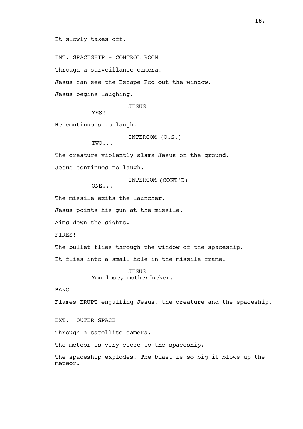It slowly takes off.

INT. SPACESHIP - CONTROL ROOM Through a surveillance camera. Jesus can see the Escape Pod out the window. Jesus begins laughing.

JESUS

YES!

TWO...

He continuous to laugh.

INTERCOM (O.S.)

The creature violently slams Jesus on the ground. Jesus continues to laugh.

INTERCOM (CONT'D)

ONE...

The missile exits the launcher.

Jesus points his gun at the missile.

Aims down the sights.

FIRES!

The bullet flies through the window of the spaceship.

It flies into a small hole in the missile frame.

JESUS You lose, motherfucker.

BANG!

Flames ERUPT engulfing Jesus, the creature and the spaceship.

EXT. OUTER SPACE

Through a satellite camera.

The meteor is very close to the spaceship.

The spaceship explodes. The blast is so big it blows up the meteor.